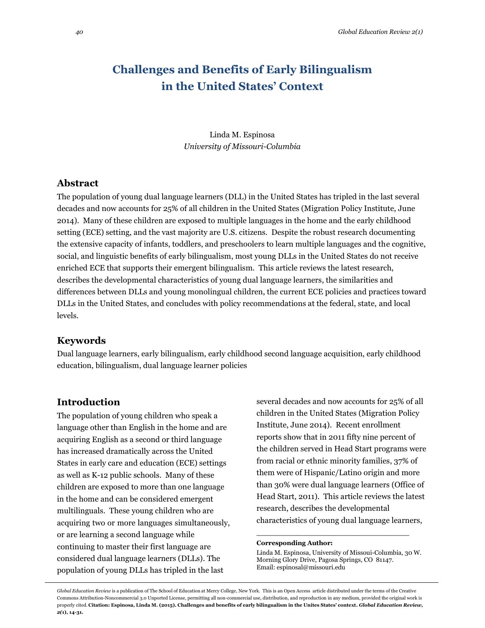# **Challenges and Benefits of Early Bilingualism in the United States' Context**

### Linda M. Espinosa *University of Missouri-Columbia*

#### **Abstract**

The population of young dual language learners (DLL) in the United States has tripled in the last several decades and now accounts for 25% of all children in the United States (Migration Policy Institute, June 2014). Many of these children are exposed to multiple languages in the home and the early childhood setting (ECE) setting, and the vast majority are U.S. citizens. Despite the robust research documenting the extensive capacity of infants, toddlers, and preschoolers to learn multiple languages and the cognitive, social, and linguistic benefits of early bilingualism, most young DLLs in the United States do not receive enriched ECE that supports their emergent bilingualism. This article reviews the latest research, describes the developmental characteristics of young dual language learners, the similarities and differences between DLLs and young monolingual children, the current ECE policies and practices toward DLLs in the United States, and concludes with policy recommendations at the federal, state, and local levels.

### **Keywords**

Dual language learners, early bilingualism, early childhood second language acquisition, early childhood education, bilingualism, dual language learner policies

### **Introduction**

The population of young children who speak a language other than English in the home and are acquiring English as a second or third language has increased dramatically across the United States in early care and education (ECE) settings as well as K-12 public schools. Many of these children are exposed to more than one language in the home and can be considered emergent multilinguals. These young children who are acquiring two or more languages simultaneously, or are learning a second language while continuing to master their first language are considered dual language learners (DLLs). The population of young DLLs has tripled in the last

several decades and now accounts for 25% of all children in the United States (Migration Policy Institute, June 2014). Recent enrollment reports show that in 2011 fifty nine percent of the children served in Head Start programs were from racial or ethnic minority families, 37% of them were of Hispanic/Latino origin and more than 30% were dual language learners (Office of Head Start, 2011). This article reviews the latest research, describes the developmental characteristics of young dual language learners,

#### **Corresponding Author:**

Linda M. Espinosa, University of Missoui-Columbia, 30 W. Morning Glory Drive, Pagosa Springs, CO 81147. Email: espinosal@missouri.edu

\_\_\_\_\_\_\_\_\_\_\_\_\_\_\_\_\_\_\_\_\_\_\_\_\_\_\_\_\_\_

*Global Education Review* is a publication of The School of Education at Mercy College, New York. This is an Open Access article distributed under the terms of the Creative Commons Attribution-Noncommercial 3.0 Unported License, permitting all non-commercial use, distribution, and reproduction in any medium, provided the original work is properly cited. **Citation: Espinosa, Linda M. (2015). Challenges and benefits of early bilingualism in the Unites States' context.** *Global Education Review, 2(***1), 14-31.**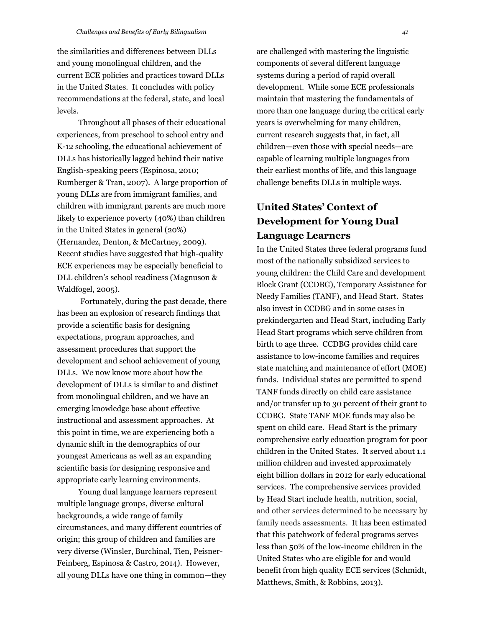the similarities and differences between DLLs and young monolingual children, and the current ECE policies and practices toward DLLs in the United States. It concludes with policy recommendations at the federal, state, and local levels.

Throughout all phases of their educational experiences, from preschool to school entry and K-12 schooling, the educational achievement of DLLs has historically lagged behind their native English-speaking peers (Espinosa, 2010; Rumberger & Tran, 2007). A large proportion of young DLLs are from immigrant families, and children with immigrant parents are much more likely to experience poverty (40%) than children in the United States in general (20%) (Hernandez, Denton, & McCartney, 2009). Recent studies have suggested that high-quality ECE experiences may be especially beneficial to DLL children's school readiness (Magnuson & Waldfogel, 2005).

Fortunately, during the past decade, there has been an explosion of research findings that provide a scientific basis for designing expectations, program approaches, and assessment procedures that support the development and school achievement of young DLLs. We now know more about how the development of DLLs is similar to and distinct from monolingual children, and we have an emerging knowledge base about effective instructional and assessment approaches. At this point in time, we are experiencing both a dynamic shift in the demographics of our youngest Americans as well as an expanding scientific basis for designing responsive and appropriate early learning environments.

Young dual language learners represent multiple language groups, diverse cultural backgrounds, a wide range of family circumstances, and many different countries of origin; this group of children and families are very diverse (Winsler, Burchinal, Tien, Peisner-Feinberg, Espinosa & Castro, 2014). However, all young DLLs have one thing in common—they

are challenged with mastering the linguistic components of several different language systems during a period of rapid overall development. While some ECE professionals maintain that mastering the fundamentals of more than one language during the critical early years is overwhelming for many children, current research suggests that, in fact, all children—even those with special needs—are capable of learning multiple languages from their earliest months of life, and this language challenge benefits DLLs in multiple ways.

## **United States' Context of Development for Young Dual Language Learners**

In the United States three federal programs fund most of the nationally subsidized services to young children: the Child Care and development Block Grant (CCDBG), Temporary Assistance for Needy Families (TANF), and Head Start. States also invest in CCDBG and in some cases in prekindergarten and Head Start, including Early Head Start programs which serve children from birth to age three. CCDBG provides child care assistance to low-income families and requires state matching and maintenance of effort (MOE) funds. Individual states are permitted to spend TANF funds directly on child care assistance and/or transfer up to 30 percent of their grant to CCDBG. State TANF MOE funds may also be spent on child care. Head Start is the primary comprehensive early education program for poor children in the United States. It served about 1.1 million children and invested approximately eight billion dollars in 2012 for early educational services. The comprehensive services provided by Head Start include health, nutrition, social, and other services determined to be necessary by family needs assessments. It has been estimated that this patchwork of federal programs serves less than 50% of the low-income children in the United States who are eligible for and would benefit from high quality ECE services (Schmidt, Matthews, Smith, & Robbins, 2013).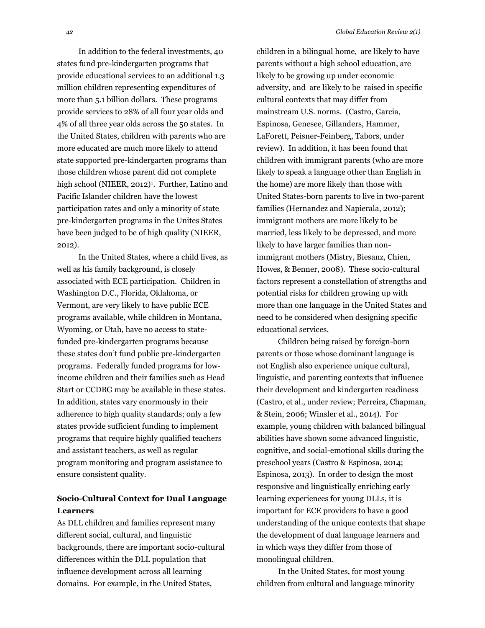In addition to the federal investments, 40 states fund pre-kindergarten programs that provide educational services to an additional 1.3 million children representing expenditures of more than 5.1 billion dollars. These programs provide services to 28% of all four year olds and 4% of all three year olds across the 50 states. In the United States, children with parents who are more educated are much more likely to attend state supported pre-kindergarten programs than those children whose parent did not complete high school (NIEER, 2012)<sup>1</sup>. Further, Latino and Pacific Islander children have the lowest participation rates and only a minority of state pre-kindergarten programs in the Unites States have been judged to be of high quality (NIEER, 2012).

In the United States, where a child lives, as well as his family background, is closely associated with ECE participation. Children in Washington D.C., Florida, Oklahoma, or Vermont, are very likely to have public ECE programs available, while children in Montana, Wyoming, or Utah, have no access to statefunded pre-kindergarten programs because these states don't fund public pre-kindergarten programs. Federally funded programs for lowincome children and their families such as Head Start or CCDBG may be available in these states. In addition, states vary enormously in their adherence to high quality standards; only a few states provide sufficient funding to implement programs that require highly qualified teachers and assistant teachers, as well as regular program monitoring and program assistance to ensure consistent quality.

#### **Socio-Cultural Context for Dual Language Learners**

As DLL children and families represent many different social, cultural, and linguistic backgrounds, there are important socio-cultural differences within the DLL population that influence development across all learning domains. For example, in the United States,

children in a bilingual home, are likely to have parents without a high school education, are likely to be growing up under economic adversity, and are likely to be raised in specific cultural contexts that may differ from mainstream U.S. norms. (Castro, Garcia, Espinosa, Genesee, Gillanders, Hammer, LaForett, Peisner-Feinberg, Tabors, under review). In addition, it has been found that children with immigrant parents (who are more likely to speak a language other than English in the home) are more likely than those with United States-born parents to live in two-parent families (Hernandez and Napierala, 2012); immigrant mothers are more likely to be married, less likely to be depressed, and more likely to have larger families than nonimmigrant mothers (Mistry, Biesanz, Chien, Howes, & Benner, 2008). These socio-cultural factors represent a constellation of strengths and potential risks for children growing up with more than one language in the United States and need to be considered when designing specific educational services.

Children being raised by foreign-born parents or those whose dominant language is not English also experience unique cultural, linguistic, and parenting contexts that influence their development and kindergarten readiness (Castro, et al., under review; Perreira, Chapman, & Stein, 2006; Winsler et al., 2014). For example, young children with balanced bilingual abilities have shown some advanced linguistic, cognitive, and social-emotional skills during the preschool years (Castro & Espinosa, 2014; Espinosa, 2013). In order to design the most responsive and linguistically enriching early learning experiences for young DLLs, it is important for ECE providers to have a good understanding of the unique contexts that shape the development of dual language learners and in which ways they differ from those of monolingual children.

In the United States, for most young children from cultural and language minority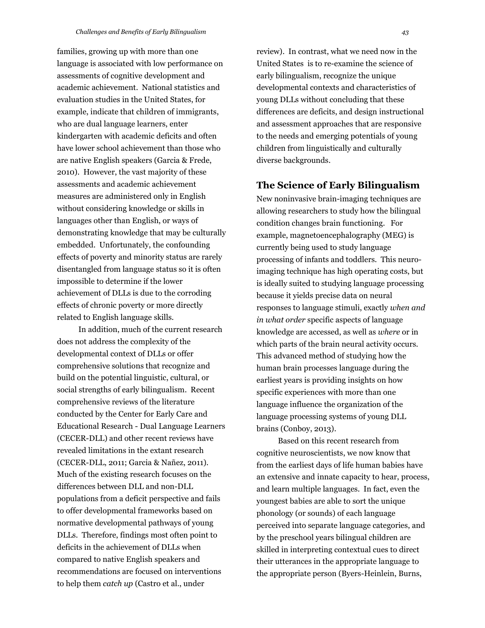families, growing up with more than one language is associated with low performance on assessments of cognitive development and academic achievement. National statistics and evaluation studies in the United States, for example, indicate that children of immigrants, who are dual language learners, enter kindergarten with academic deficits and often have lower school achievement than those who are native English speakers (Garcia & Frede, 2010). However, the vast majority of these assessments and academic achievement measures are administered only in English without considering knowledge or skills in languages other than English, or ways of demonstrating knowledge that may be culturally embedded. Unfortunately, the confounding effects of poverty and minority status are rarely disentangled from language status so it is often impossible to determine if the lower achievement of DLLs is due to the corroding effects of chronic poverty or more directly related to English language skills.

In addition, much of the current research does not address the complexity of the developmental context of DLLs or offer comprehensive solutions that recognize and build on the potential linguistic, cultural, or social strengths of early bilingualism. Recent comprehensive reviews of the literature conducted by the Center for Early Care and Educational Research - Dual Language Learners (CECER-DLL) and other recent reviews have revealed limitations in the extant research (CECER-DLL, 2011; Garcia & Nañez, 2011). Much of the existing research focuses on the differences between DLL and non-DLL populations from a deficit perspective and fails to offer developmental frameworks based on normative developmental pathways of young DLLs. Therefore, findings most often point to deficits in the achievement of DLLs when compared to native English speakers and recommendations are focused on interventions to help them *catch up* (Castro et al., under

review). In contrast, what we need now in the United States is to re-examine the science of early bilingualism, recognize the unique developmental contexts and characteristics of young DLLs without concluding that these differences are deficits, and design instructional and assessment approaches that are responsive to the needs and emerging potentials of young children from linguistically and culturally diverse backgrounds.

#### **The Science of Early Bilingualism**

New noninvasive brain-imaging techniques are allowing researchers to study how the bilingual condition changes brain functioning. For example, magnetoencephalography (MEG) is currently being used to study language processing of infants and toddlers. This neuroimaging technique has high operating costs, but is ideally suited to studying language processing because it yields precise data on neural responses to language stimuli, exactly *when and in what order* specific aspects of language knowledge are accessed, as well as *where* or in which parts of the brain neural activity occurs. This advanced method of studying how the human brain processes language during the earliest years is providing insights on how specific experiences with more than one language influence the organization of the language processing systems of young DLL brains (Conboy, 2013).

Based on this recent research from cognitive neuroscientists, we now know that from the earliest days of life human babies have an extensive and innate capacity to hear, process, and learn multiple languages. In fact, even the youngest babies are able to sort the unique phonology (or sounds) of each language perceived into separate language categories, and by the preschool years bilingual children are skilled in interpreting contextual cues to direct their utterances in the appropriate language to the appropriate person (Byers-Heinlein, Burns,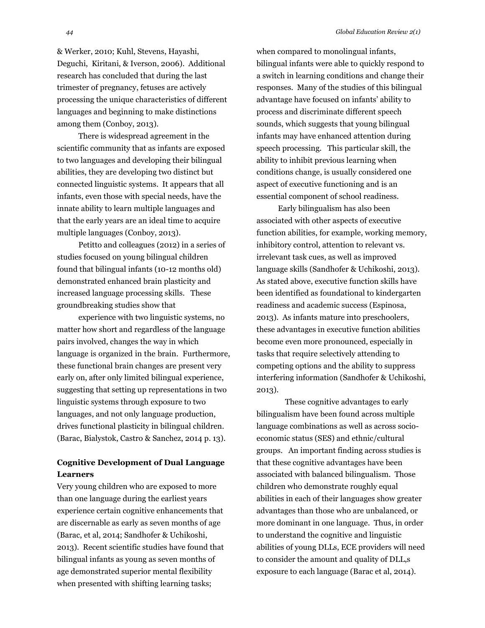& Werker, 2010; Kuhl, Stevens, Hayashi, Deguchi, Kiritani, & Iverson, 2006). Additional research has concluded that during the last trimester of pregnancy, fetuses are actively processing the unique characteristics of different languages and beginning to make distinctions among them (Conboy, 2013).

There is widespread agreement in the scientific community that as infants are exposed to two languages and developing their bilingual abilities, they are developing two distinct but connected linguistic systems. It appears that all infants, even those with special needs, have the innate ability to learn multiple languages and that the early years are an ideal time to acquire multiple languages (Conboy, 2013).

Petitto and colleagues (2012) in a series of studies focused on young bilingual children found that bilingual infants (10-12 months old) demonstrated enhanced brain plasticity and increased language processing skills. These groundbreaking studies show that

experience with two linguistic systems, no matter how short and regardless of the language pairs involved, changes the way in which language is organized in the brain. Furthermore, these functional brain changes are present very early on, after only limited bilingual experience, suggesting that setting up representations in two linguistic systems through exposure to two languages, and not only language production, drives functional plasticity in bilingual children. (Barac, Bialystok, Castro & Sanchez, 2014 p. 13).

## **Cognitive Development of Dual Language Learners**

Very young children who are exposed to more than one language during the earliest years experience certain cognitive enhancements that are discernable as early as seven months of age (Barac, et al, 2014; Sandhofer & Uchikoshi, 2013). Recent scientific studies have found that bilingual infants as young as seven months of age demonstrated superior mental flexibility when presented with shifting learning tasks;

when compared to monolingual infants, bilingual infants were able to quickly respond to a switch in learning conditions and change their responses. Many of the studies of this bilingual advantage have focused on infants' ability to process and discriminate different speech sounds, which suggests that young bilingual infants may have enhanced attention during speech processing. This particular skill, the ability to inhibit previous learning when conditions change, is usually considered one aspect of executive functioning and is an essential component of school readiness.

Early bilingualism has also been associated with other aspects of executive function abilities, for example, working memory, inhibitory control, attention to relevant vs. irrelevant task cues, as well as improved language skills (Sandhofer & Uchikoshi, 2013). As stated above, executive function skills have been identified as foundational to kindergarten readiness and academic success (Espinosa, 2013). As infants mature into preschoolers, these advantages in executive function abilities become even more pronounced, especially in tasks that require selectively attending to competing options and the ability to suppress interfering information (Sandhofer & Uchikoshi, 2013).

These cognitive advantages to early bilingualism have been found across multiple language combinations as well as across socioeconomic status (SES) and ethnic/cultural groups. An important finding across studies is that these cognitive advantages have been associated with balanced bilingualism. Those children who demonstrate roughly equal abilities in each of their languages show greater advantages than those who are unbalanced, or more dominant in one language. Thus, in order to understand the cognitive and linguistic abilities of young DLLs, ECE providers will need to consider the amount and quality of DLL,s exposure to each language (Barac et al, 2014).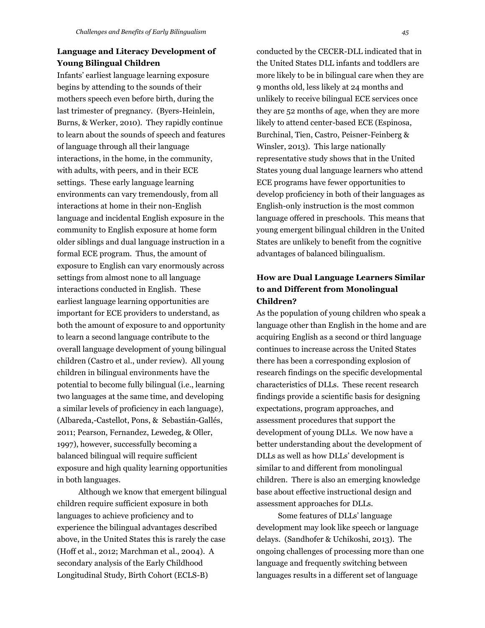### **Language and Literacy Development of Young Bilingual Children**

Infants' earliest language learning exposure begins by attending to the sounds of their mothers speech even before birth, during the last trimester of pregnancy. (Byers-Heinlein, Burns, & Werker, 2010). They rapidly continue to learn about the sounds of speech and features of language through all their language interactions, in the home, in the community, with adults, with peers, and in their ECE settings. These early language learning environments can vary tremendously, from all interactions at home in their non-English language and incidental English exposure in the community to English exposure at home form older siblings and dual language instruction in a formal ECE program. Thus, the amount of exposure to English can vary enormously across settings from almost none to all language interactions conducted in English. These earliest language learning opportunities are important for ECE providers to understand, as both the amount of exposure to and opportunity to learn a second language contribute to the overall language development of young bilingual children (Castro et al., under review). All young children in bilingual environments have the potential to become fully bilingual (i.e., learning two languages at the same time, and developing a similar levels of proficiency in each language), (Albareda,-Castellot, Pons, & Sebastián-Gallés, 2011; Pearson, Fernandez, Lewedeg, & Oller, 1997), however, successfully becoming a balanced bilingual will require sufficient exposure and high quality learning opportunities in both languages.

Although we know that emergent bilingual children require sufficient exposure in both languages to achieve proficiency and to experience the bilingual advantages described above, in the United States this is rarely the case (Hoff et al., 2012; Marchman et al., 2004). A secondary analysis of the Early Childhood Longitudinal Study, Birth Cohort (ECLS-B)

conducted by the CECER-DLL indicated that in the United States DLL infants and toddlers are more likely to be in bilingual care when they are 9 months old, less likely at 24 months and unlikely to receive bilingual ECE services once they are 52 months of age, when they are more likely to attend center-based ECE (Espinosa, Burchinal, Tien, Castro, Peisner-Feinberg & Winsler, 2013). This large nationally representative study shows that in the United States young dual language learners who attend ECE programs have fewer opportunities to develop proficiency in both of their languages as English-only instruction is the most common language offered in preschools. This means that young emergent bilingual children in the United States are unlikely to benefit from the cognitive advantages of balanced bilingualism.

## **How are Dual Language Learners Similar to and Different from Monolingual Children?**

As the population of young children who speak a language other than English in the home and are acquiring English as a second or third language continues to increase across the United States there has been a corresponding explosion of research findings on the specific developmental characteristics of DLLs. These recent research findings provide a scientific basis for designing expectations, program approaches, and assessment procedures that support the development of young DLLs. We now have a better understanding about the development of DLLs as well as how DLLs' development is similar to and different from monolingual children. There is also an emerging knowledge base about effective instructional design and assessment approaches for DLLs.

Some features of DLLs' language development may look like speech or language delays. (Sandhofer & Uchikoshi, 2013). The ongoing challenges of processing more than one language and frequently switching between languages results in a different set of language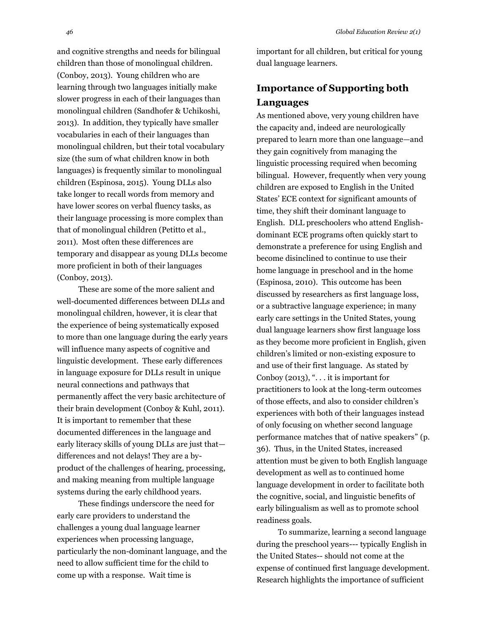and cognitive strengths and needs for bilingual children than those of monolingual children. (Conboy, 2013). Young children who are learning through two languages initially make slower progress in each of their languages than monolingual children (Sandhofer & Uchikoshi, 2013). In addition, they typically have smaller vocabularies in each of their languages than monolingual children, but their total vocabulary size (the sum of what children know in both languages) is frequently similar to monolingual children (Espinosa, 2015). Young DLLs also take longer to recall words from memory and have lower scores on verbal fluency tasks, as their language processing is more complex than that of monolingual children (Petitto et al., 2011). Most often these differences are temporary and disappear as young DLLs become more proficient in both of their languages (Conboy, 2013).

These are some of the more salient and well-documented differences between DLLs and monolingual children, however, it is clear that the experience of being systematically exposed to more than one language during the early years will influence many aspects of cognitive and linguistic development. These early differences in language exposure for DLLs result in unique neural connections and pathways that permanently affect the very basic architecture of their brain development (Conboy & Kuhl, 2011). It is important to remember that these documented differences in the language and early literacy skills of young DLLs are just that differences and not delays! They are a byproduct of the challenges of hearing, processing, and making meaning from multiple language systems during the early childhood years.

These findings underscore the need for early care providers to understand the challenges a young dual language learner experiences when processing language, particularly the non-dominant language, and the need to allow sufficient time for the child to come up with a response. Wait time is

important for all children, but critical for young dual language learners.

## **Importance of Supporting both Languages**

As mentioned above, very young children have the capacity and, indeed are neurologically prepared to learn more than one language—and they gain cognitively from managing the linguistic processing required when becoming bilingual. However, frequently when very young children are exposed to English in the United States' ECE context for significant amounts of time, they shift their dominant language to English. DLL preschoolers who attend Englishdominant ECE programs often quickly start to demonstrate a preference for using English and become disinclined to continue to use their home language in preschool and in the home (Espinosa, 2010). This outcome has been discussed by researchers as first language loss, or a subtractive language experience; in many early care settings in the United States, young dual language learners show first language loss as they become more proficient in English, given children's limited or non-existing exposure to and use of their first language. As stated by Conboy  $(2013), \ldots$  it is important for practitioners to look at the long-term outcomes of those effects, and also to consider children's experiences with both of their languages instead of only focusing on whether second language performance matches that of native speakers" (p. 36). Thus, in the United States, increased attention must be given to both English language development as well as to continued home language development in order to facilitate both the cognitive, social, and linguistic benefits of early bilingualism as well as to promote school readiness goals.

To summarize, learning a second language during the preschool years--- typically English in the United States-- should not come at the expense of continued first language development. Research highlights the importance of sufficient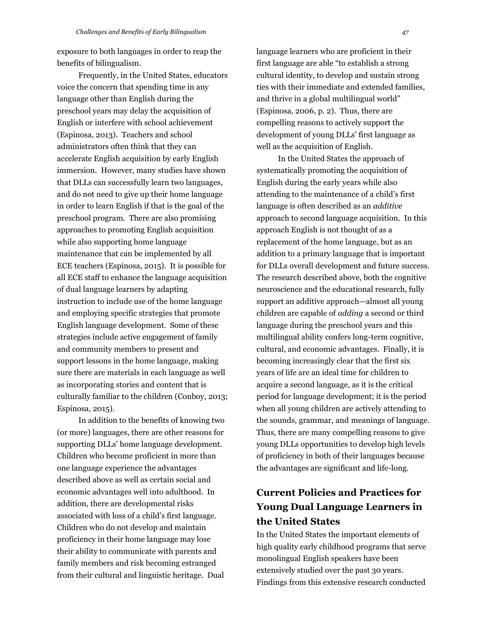exposure to both languages in order to reap the benefits of bilingualism.

Frequently, in the United States, educators voice the concern that spending time in any language other than English during the preschool years may delay the acquisition of English or interfere with school achievement (Espinosa, 2013). Teachers and school administrators often think that they can accelerate English acquisition by early English immersion. However, many studies have shown that DLLs can successfully learn two languages, and do not need to give up their home language in order to learn English if that is the goal of the preschool program. There are also promising approaches to promoting English acquisition while also supporting home language maintenance that can be implemented by all ECE teachers (Espinosa, 2015). It is possible for all ECE staff to enhance the language acquisition of dual language learners by adapting instruction to include use of the home language and employing specific strategies that promote English language development. Some of these strategies include active engagement of family and community members to present and support lessons in the home language, making sure there are materials in each language as well as incorporating stories and content that is culturally familiar to the children (Conboy, 2013; Espinosa, 2015).

In addition to the benefits of knowing two (or more) languages, there are other reasons for supporting DLLs' home language development. Children who become proficient in more than one language experience the advantages described above as well as certain social and economic advantages well into adulthood. In addition, there are developmental risks associated with loss of a child's first language. Children who do not develop and maintain proficiency in their home language may lose their ability to communicate with parents and family members and risk becoming estranged from their cultural and linguistic heritage. Dual language learners who are proficient in their first language are able "to establish a strong cultural identity, to develop and sustain strong ties with their immediate and extended families, and thrive in a global multilingual world" (Espinosa, 2006, p. 2). Thus, there are compelling reasons to actively support the development of young DLLs' first language as well as the acquisition of English.

In the United States the approach of systematically promoting the acquisition of English during the early years while also attending to the maintenance of a child's first language is often described as an *additive* approach to second language acquisition. In this approach English is not thought of as a replacement of the home language, but as an addition to a primary language that is important for DLLs overall development and future success. The research described above, both the cognitive neuroscience and the educational research, fully support an additive approach—almost all young children are capable of *adding* a second or third language during the preschool years and this multilingual ability confers long-term cognitive, cultural, and economic advantages. Finally, it is becoming increasingly clear that the first six years of life are an ideal time for children to acquire a second language, as it is the critical period for language development; it is the period when all young children are actively attending to the sounds, grammar, and meanings of language. Thus, there are many compelling reasons to give young DLLs opportunities to develop high levels of proficiency in both of their languages because the advantages are significant and life-long.

## **Current Policies and Practices for Young Dual Language Learners in the United States**

In the United States the important elements of high quality early childhood programs that serve monolingual English speakers have been extensively studied over the past 30 years. Findings from this extensive research conducted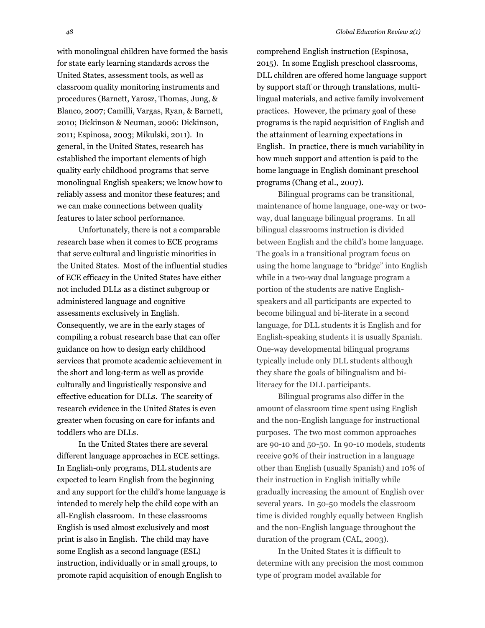with monolingual children have formed the basis for state early learning standards across the United States, assessment tools, as well as classroom quality monitoring instruments and procedures (Barnett, Yarosz, Thomas, Jung, & Blanco, 2007; Camilli, Vargas, Ryan, & Barnett, 2010; Dickinson & Neuman, 2006: Dickinson, 2011; Espinosa, 2003; Mikulski, 2011). In general, in the United States, research has established the important elements of high quality early childhood programs that serve monolingual English speakers; we know how to reliably assess and monitor these features; and we can make connections between quality features to later school performance.

Unfortunately, there is not a comparable research base when it comes to ECE programs that serve cultural and linguistic minorities in the United States. Most of the influential studies of ECE efficacy in the United States have either not included DLLs as a distinct subgroup or administered language and cognitive assessments exclusively in English. Consequently, we are in the early stages of compiling a robust research base that can offer guidance on how to design early childhood services that promote academic achievement in the short and long-term as well as provide culturally and linguistically responsive and effective education for DLLs. The scarcity of research evidence in the United States is even greater when focusing on care for infants and toddlers who are DLLs.

In the United States there are several different language approaches in ECE settings. In English-only programs, DLL students are expected to learn English from the beginning and any support for the child's home language is intended to merely help the child cope with an all-English classroom. In these classrooms English is used almost exclusively and most print is also in English. The child may have some English as a second language (ESL) instruction, individually or in small groups, to promote rapid acquisition of enough English to

comprehend English instruction (Espinosa, 2015). In some English preschool classrooms, DLL children are offered home language support by support staff or through translations, multilingual materials, and active family involvement practices. However, the primary goal of these programs is the rapid acquisition of English and the attainment of learning expectations in English. In practice, there is much variability in how much support and attention is paid to the home language in English dominant preschool programs (Chang et al., 2007).

Bilingual programs can be transitional, maintenance of home language, one-way or twoway, dual language bilingual programs. In all bilingual classrooms instruction is divided between English and the child's home language. The goals in a transitional program focus on using the home language to "bridge" into English while in a two-way dual language program a portion of the students are native Englishspeakers and all participants are expected to become bilingual and bi-literate in a second language, for DLL students it is English and for English-speaking students it is usually Spanish. One-way developmental bilingual programs typically include only DLL students although they share the goals of bilingualism and biliteracy for the DLL participants.

Bilingual programs also differ in the amount of classroom time spent using English and the non-English language for instructional purposes. The two most common approaches are 90-10 and 50-50. In 90-10 models, students receive 90% of their instruction in a language other than English (usually Spanish) and 10% of their instruction in English initially while gradually increasing the amount of English over several years. In 50-50 models the classroom time is divided roughly equally between English and the non-English language throughout the duration of the program (CAL, 2003).

In the United States it is difficult to determine with any precision the most common type of program model available for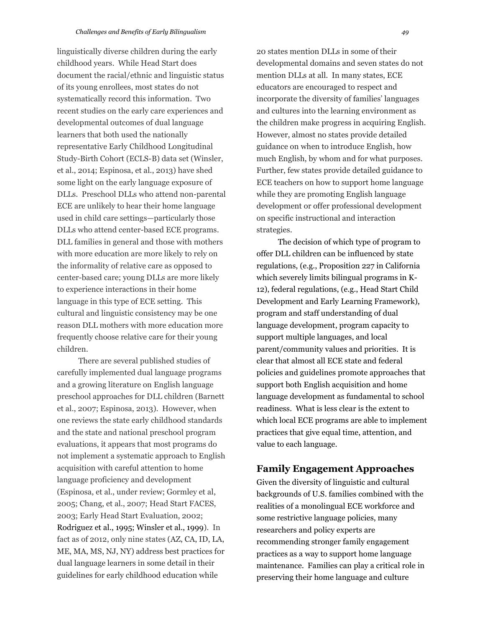linguistically diverse children during the early childhood years. While Head Start does document the racial/ethnic and linguistic status of its young enrollees, most states do not systematically record this information. Two recent studies on the early care experiences and developmental outcomes of dual language learners that both used the nationally representative Early Childhood Longitudinal Study-Birth Cohort (ECLS-B) data set (Winsler, et al., 2014; Espinosa, et al., 2013) have shed some light on the early language exposure of DLLs. Preschool DLLs who attend non-parental ECE are unlikely to hear their home language used in child care settings—particularly those DLLs who attend center-based ECE programs. DLL families in general and those with mothers with more education are more likely to rely on the informality of relative care as opposed to center-based care; young DLLs are more likely to experience interactions in their home language in this type of ECE setting. This cultural and linguistic consistency may be one reason DLL mothers with more education more frequently choose relative care for their young children.

There are several published studies of carefully implemented dual language programs and a growing literature on English language preschool approaches for DLL children (Barnett et al., 2007; Espinosa, 2013). However, when one reviews the state early childhood standards and the state and national preschool program evaluations, it appears that most programs do not implement a systematic approach to English acquisition with careful attention to home language proficiency and development (Espinosa, et al., under review; Gormley et al, 2005; Chang, et al., 2007; Head Start FACES, 2003; Early Head Start Evaluation, 2002; Rodriguez et al., 1995; Winsler et al., 1999). In fact as of 2012, only nine states (AZ, CA, ID, LA, ME, MA, MS, NJ, NY) address best practices for dual language learners in some detail in their guidelines for early childhood education while

20 states mention DLLs in some of their developmental domains and seven states do not mention DLLs at all. In many states, ECE educators are encouraged to respect and incorporate the diversity of families' languages and cultures into the learning environment as the children make progress in acquiring English. However, almost no states provide detailed guidance on when to introduce English, how much English, by whom and for what purposes. Further, few states provide detailed guidance to ECE teachers on how to support home language while they are promoting English language development or offer professional development on specific instructional and interaction strategies.

The decision of which type of program to offer DLL children can be influenced by state regulations, (e.g., Proposition 227 in California which severely limits bilingual programs in K-12), federal regulations, (e.g., Head Start Child Development and Early Learning Framework), program and staff understanding of dual language development, program capacity to support multiple languages, and local parent/community values and priorities. It is clear that almost all ECE state and federal policies and guidelines promote approaches that support both English acquisition and home language development as fundamental to school readiness. What is less clear is the extent to which local ECE programs are able to implement practices that give equal time, attention, and value to each language.

#### **Family Engagement Approaches**

Given the diversity of linguistic and cultural backgrounds of U.S. families combined with the realities of a monolingual ECE workforce and some restrictive language policies, many researchers and policy experts are recommending stronger family engagement practices as a way to support home language maintenance. Families can play a critical role in preserving their home language and culture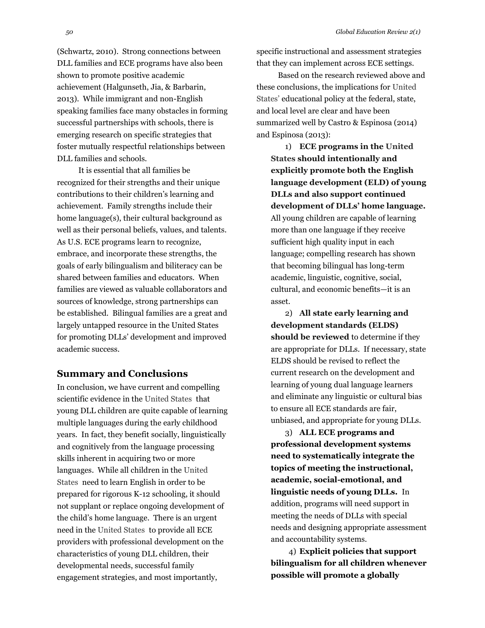(Schwartz, 2010). Strong connections between DLL families and ECE programs have also been shown to promote positive academic achievement (Halgunseth, Jia, & Barbarin, 2013). While immigrant and non-English speaking families face many obstacles in forming successful partnerships with schools, there is emerging research on specific strategies that foster mutually respectful relationships between DLL families and schools.

It is essential that all families be recognized for their strengths and their unique contributions to their children's learning and achievement. Family strengths include their home language(s), their cultural background as well as their personal beliefs, values, and talents. As U.S. ECE programs learn to recognize, embrace, and incorporate these strengths, the goals of early bilingualism and biliteracy can be shared between families and educators. When families are viewed as valuable collaborators and sources of knowledge, strong partnerships can be established. Bilingual families are a great and largely untapped resource in the United States for promoting DLLs' development and improved academic success.

#### **Summary and Conclusions**

In conclusion, we have current and compelling scientific evidence in the United Statesthat young DLL children are quite capable of learning multiple languages during the early childhood years. In fact, they benefit socially, linguistically and cognitively from the language processing skills inherent in acquiring two or more languages. While all children in the United Statesneed to learn English in order to be prepared for rigorous K-12 schooling, it should not supplant or replace ongoing development of the child's home language. There is an urgent need in the United Statesto provide all ECE providers with professional development on the characteristics of young DLL children, their developmental needs, successful family engagement strategies, and most importantly,

specific instructional and assessment strategies that they can implement across ECE settings.

Based on the research reviewed above and these conclusions, the implications for United States' educational policy at the federal, state, and local level are clear and have been summarized well by Castro & Espinosa (2014) and Espinosa (2013):

1) **ECE programs in the United States should intentionally and explicitly promote both the English language development (ELD) of young DLLs and also support continued development of DLLs' home language.**  All young children are capable of learning more than one language if they receive sufficient high quality input in each language; compelling research has shown that becoming bilingual has long-term academic, linguistic, cognitive, social, cultural, and economic benefits—it is an asset.

2) **All state early learning and development standards (ELDS) should be reviewed** to determine if they are appropriate for DLLs. If necessary, state ELDS should be revised to reflect the current research on the development and learning of young dual language learners and eliminate any linguistic or cultural bias to ensure all ECE standards are fair, unbiased, and appropriate for young DLLs.

3) **ALL ECE programs and professional development systems need to systematically integrate the topics of meeting the instructional, academic, social-emotional, and linguistic needs of young DLLs.** In addition, programs will need support in meeting the needs of DLLs with special needs and designing appropriate assessment and accountability systems.

4) **Explicit policies that support bilingualism for all children whenever possible will promote a globally**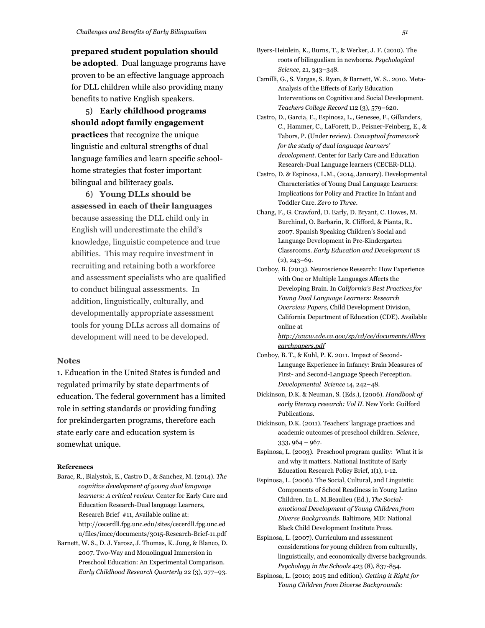**prepared student population should be adopted**. Dual language programs have proven to be an effective language approach for DLL children while also providing many benefits to native English speakers.

5) **Early childhood programs should adopt family engagement practices** that recognize the unique linguistic and cultural strengths of dual language families and learn specific schoolhome strategies that foster important bilingual and biliteracy goals.

6) **Young DLLs should be assessed in each of their languages** because assessing the DLL child only in English will underestimate the child's knowledge, linguistic competence and true abilities. This may require investment in recruiting and retaining both a workforce and assessment specialists who are qualified to conduct bilingual assessments. In addition, linguistically, culturally, and developmentally appropriate assessment tools for young DLLs across all domains of development will need to be developed.

#### **Notes**

1. Education in the United States is funded and regulated primarily by state departments of education. The federal government has a limited role in setting standards or providing funding for prekindergarten programs, therefore each state early care and education system is somewhat unique.

#### **References**

- Barac, R., Bialystok, E., Castro D., & Sanchez, M. (2014). *The cognitive development of young dual language learners: A critical review.* Center for Early Care and Education Research-Dual language Learners, Research Brief #11, Available online at: http://cecerdll.fpg.unc.edu/sites/cecerdll.fpg.unc.ed u/files/imce/documents/3015-Research-Brief-11.pdf
- Barnett, W. S., D. J. Yarosz, J. Thomas, K. Jung, & Blanco, D. 2007. Two-Way and Monolingual Immersion in Preschool Education: An Experimental Comparison. *Early Childhood Research Quarterly* 22 (3), 277–93.
- Byers-Heinlein, K., Burns, T., & Werker, J. F. (2010). The roots of bilingualism in newborns. *Psychological Science*, 21, 343–348.
- Camilli, G., S. Vargas, S. Ryan, & Barnett, W. S.. 2010. Meta-Analysis of the Effects of Early Education Interventions on Cognitive and Social Development. *Teachers College Record* 112 (3), 579–620.
- Castro, D., Garcia, E., Espinosa, L., Genesee, F., Gillanders, C., Hammer, C., LaForett, D., Peisner-Feinberg, E., & Tabors, P. (Under review). *Conceptual framework for the study of dual language learners' development*. Center for Early Care and Education Research-Dual Language learners (CECER-DLL).
- Castro, D. & Espinosa, L.M., (2014, January). Developmental Characteristics of Young Dual Language Learners: Implications for Policy and Practice In Infant and Toddler Care. *Zero to Three*.
- Chang, F., G. Crawford, D. Early, D. Bryant, C. Howes, M. Burchinal, O. Barbarin, R. Clifford, & Pianta, R.. 2007. Spanish Speaking Children's Social and Language Development in Pre-Kindergarten Classrooms. *Early Education and Development* 18 (2), 243–69.
- Conboy, B. (2013). Neuroscience Research: How Experience with One or Multiple Languages Affects the Developing Brain. In *California's Best Practices for Young Dual Language Learners: Research Overview Papers,* Child Development Division, California Department of Education (CDE). Available online at

*[http://www.cde.ca.gov/sp/cd/ce/documents/dllres](http://www.cde.ca.gov/sp/cd/ce/documents/dllresearchpapers.pdf) [earchpapers.pdf](http://www.cde.ca.gov/sp/cd/ce/documents/dllresearchpapers.pdf)*

- Conboy, B. T., & Kuhl, P. K. 2011. Impact of Second-Language Experience in Infancy: Brain Measures of First- and Second-Language Speech Perception. *Developmental Science* 14, 242–48.
- Dickinson, D.K. & Neuman, S. (Eds.), (2006). *Handbook of early literacy research: Vol II.* New York: Guilford Publications.
- Dickinson, D.K. (2011). Teachers' language practices and academic outcomes of preschool children. *Science*, 333, 964 – 967.
- Espinosa, L. (2003). Preschool program quality: What it is and why it matters. National Institute of Early Education Research Policy Brief, 1(1), 1-12.
- Espinosa, L. (2006). The Social, Cultural, and Linguistic Components of School Readiness in Young Latino Children. In L. M.Beaulieu (Ed.), *The Socialemotional Development of Young Children from Diverse Backgrounds*. Baltimore, MD: National Black Child Development Institute Press.
- Espinosa, L. (2007). Curriculum and assessment considerations for young children from culturally, linguistically, and economically diverse backgrounds. *Psychology in the Schools* 423 (8), 837-854.
- Espinosa, L. (2010; 2015 2nd edition). *Getting it Right for Young Children from Diverse Backgrounds:*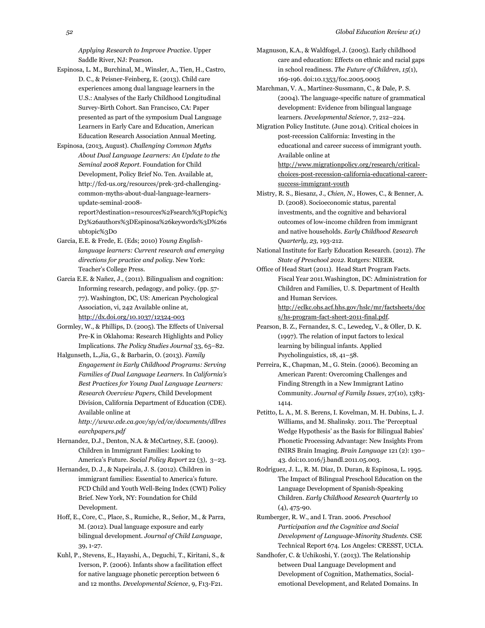*Applying Research to Improve Practice*. Upper Saddle River, NJ: Pearson.

- Espinosa, L. M., Burchinal, M., Winsler, A., Tien, H., Castro, D. C., & Peisner-Feinberg, E. (2013). Child care experiences among dual language learners in the U.S.: Analyses of the Early Childhood Longitudinal Survey-Birth Cohort. San Francisco, CA: Paper presented as part of the symposium Dual Language Learners in Early Care and Education, American Education Research Association Annual Meeting.
- Espinosa, (2013, August). *Challenging Common Myths About Dual Language Learners: An Update to the Seminal 2008 Report*. Foundation for Child Development, Policy Brief No. Ten. Available at, http://fcd-us.org/resources/prek-3rd-challengingcommon-myths-about-dual-language-learnersupdate-seminal-2008-

report?destination=resources%2Fsearch%3Ftopic%3 D3%26authors%3DEspinosa%26keywords%3D%26s ubtopic%3D0

- Garcia, E.E. & Frede, E. (Eds; 2010) *Young Englishlanguage learners: Current research and emerging directions for practice and policy*. New York: Teacher's College Press.
- Garcia E.E. & Nañez, J., (2011). Bilingualism and cognition: Informing research, pedagogy, and policy. (pp. 57- 77). Washington, DC, US: American Psychological Association, vi, 242 Available online at, [http://dx.doi.org/10.1037/12324-003](http://psycnet.apa.org/doi/10.1037/12324-003)
- Gormley, W., & Phillips, D. (2005). The Effects of Universal Pre-K in Oklahoma: Research Highlights and Policy Implications. *The Policy Studies Journal* 33, 65–82.
- Halgunseth, L.,Jia, G., & Barbarin, O. (2013). *Family Engagement in Early Childhood Programs: Serving Families of Dual Language Learners.* In *California's Best Practices for Young Dual Language Learners: Research Overview Papers,* Child Development Division, California Department of Education (CDE). Available online at *http://www.cde.ca.gov/sp/cd/ce/documents/dllres*

Hernandez, D.J., Denton, N.A. & McCartney, S.E. (2009). Children in Immigrant Families: Looking to America's Future. *Social Policy Report* 22 (3), 3–23.

*earchpapers.pdf*

Hernandez, D. J., & Napeirala, J. S. (2012). Children in immigrant families: Essential to America's future. FCD Child and Youth Well-Being Index (CWI) Policy Brief. New York, NY: Foundation for Child Development.

- Hoff, E., Core, C., Place, S., Rumiche, R., Señor, M., & Parra, M. (2012). Dual language exposure and early bilingual development. *Journal of Child Language*, 39, 1-27.
- Kuhl, P., Stevens, E., Hayashi, A., Deguchi, T., Kiritani, S., & Iverson, P. (2006). Infants show a facilitation effect for native language phonetic perception between 6 and 12 months. *Developmental Science*, 9, F13-F21.
- Magnuson, K.A., & Waldfogel, J. (2005). Early childhood care and education: Effects on ethnic and racial gaps in school readiness. *The Future of Children*, *15*(1), 169-196. doi:10.1353/foc.2005.0005
- Marchman, V. A., Martinez-Sussmann, C., & Dale, P. S. (2004). The language-specific nature of grammatical development: Evidence from bilingual language learners. *Developmental Science*, 7, 212–224.
- Migration Policy Institute. (June 2014). Critical choices in post-recession California: Investing in the educational and career success of immigrant youth. Available online at [http://www.migrationpolicy.org/research/critical-](http://www.migrationpolicy.org/research/critical-choices-post-recession-california-educational-career-success-immigrant-youth)

[choices-post-recession-california-educational-career](http://www.migrationpolicy.org/research/critical-choices-post-recession-california-educational-career-success-immigrant-youth)[success-immigrant-youth](http://www.migrationpolicy.org/research/critical-choices-post-recession-california-educational-career-success-immigrant-youth)

- Mistry, R. S., Biesanz, J., *Chien, N.,* Howes, C., & Benner, A. D. (2008). Socioeconomic status, parental investments, and the cognitive and behavioral outcomes of low-income children from immigrant and native households. *Early Childhood Research Quarterly, 23,* 193-212*.*
- National Institute for Early Education Research. (2012). *The State of Preschool 2012.* Rutgers: NIEER.
- Office of Head Start (2011). Head Start Program Facts. Fiscal Year 2011.Washington, DC: Administration for Children and Families, U. S. Department of Health and Human Services.

[http://eclkc.ohs.acf.hhs.gov/hslc/mr/factsheets/doc](http://eclkc.ohs.acf.hhs.gov/hslc/mr/factsheets/docs/hs-program-fact-sheet-2011-final.pdf) [s/hs-program-fact-sheet-2011-final.pdf.](http://eclkc.ohs.acf.hhs.gov/hslc/mr/factsheets/docs/hs-program-fact-sheet-2011-final.pdf)

- Pearson, B. Z., Fernandez, S. C., Lewedeg, V., & Oller, D. K. (1997). The relation of input factors to lexical learning by bilingual infants. Applied Psycholinguistics, 18, 41–58.
- Perreira, K., Chapman, M., G. Stein. (2006). Becoming an American Parent: Overcoming Challenges and Finding Strength in a New Immigrant Latino Community. *Journal of Family Issues*, 27(10), 1383- 1414.
- Petitto, L. A., M. S. Berens, I. Kovelman, M. H. Dubins, L. J. Williams, and M. Shalinsky. 2011. The 'Perceptual Wedge Hypothesis' as the Basis for Bilingual Babies' Phonetic Processing Advantage: New Insights From fNIRS Brain Imaging. *Brain Language* 121 (2): 130– 43. doi:10.1016/j.bandl.2011.05.003.
- Rodríguez, J. L., R. M. Díaz, D. Duran, & Espinosa, L. 1995. The Impact of Bilingual Preschool Education on the Language Development of Spanish-Speaking Children. *Early Childhood Research Quarterly* 10 (4), 475-90.
- Rumberger, R. W., and I. Tran. 2006. *Preschool Participation and the Cognitive and Social Development of Language-Minority Students.* CSE Technical Report 674. Los Angeles: CRESST, UCLA.
- Sandhofer, C. & Uchikoshi, Y. (2013). The Relationship between Dual Language Development and Development of Cognition, Mathematics, Socialemotional Development, and Related Domains. In